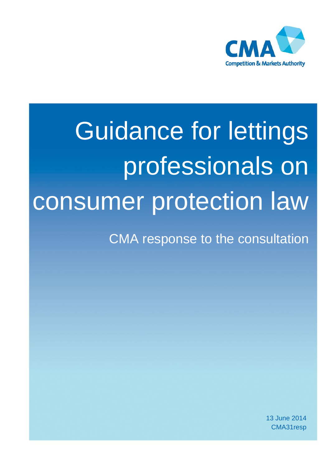

# Guidance for lettings professionals on consumer protection law

CMA response to the consultation

13 June 2014 CMA31resp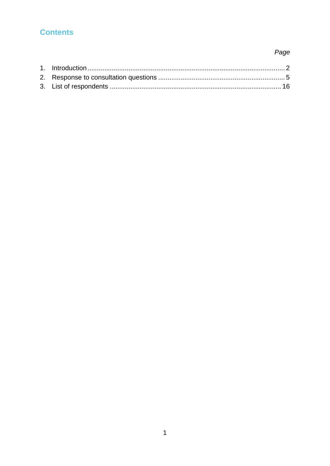# **Contents**

# Page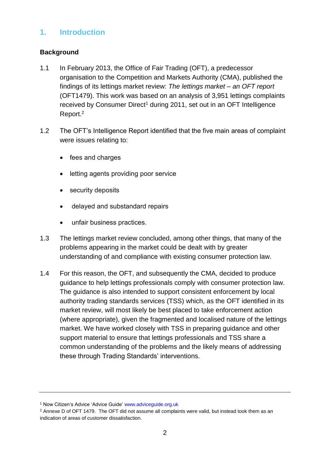# **1. Introduction**

## **Background**

- 1.1 In February 2013, the Office of Fair Trading (OFT), a predecessor organisation to the Competition and Markets Authority (CMA), published the findings of its lettings market review: *The lettings market – an OFT report*  (OFT1479). This work was based on an analysis of 3,951 lettings complaints received by Consumer Direct<sup>1</sup> during 2011, set out in an OFT Intelligence Report.<sup>2</sup>
- 1.2 The OFT's Intelligence Report identified that the five main areas of complaint were issues relating to:
	- fees and charges
	- letting agents providing poor service
	- security deposits
	- delayed and substandard repairs
	- unfair business practices.
- 1.3 The lettings market review concluded, among other things, that many of the problems appearing in the market could be dealt with by greater understanding of and compliance with existing consumer protection law.
- 1.4 For this reason, the OFT, and subsequently the CMA, decided to produce guidance to help lettings professionals comply with consumer protection law. The guidance is also intended to support consistent enforcement by local authority trading standards services (TSS) which, as the OFT identified in its market review, will most likely be best placed to take enforcement action (where appropriate), given the fragmented and localised nature of the lettings market. We have worked closely with TSS in preparing guidance and other support material to ensure that lettings professionals and TSS share a common understanding of the problems and the likely means of addressing these through Trading Standards' interventions.

<sup>1</sup> Now Citizen's Advice 'Advice Guide' [www.adviceguide.org.uk](http://www.adviceguide.org.uk/)

 $2$  Annexe D of OFT 1479. The OFT did not assume all complaints were valid, but instead took them as an indication of areas of customer dissatisfaction.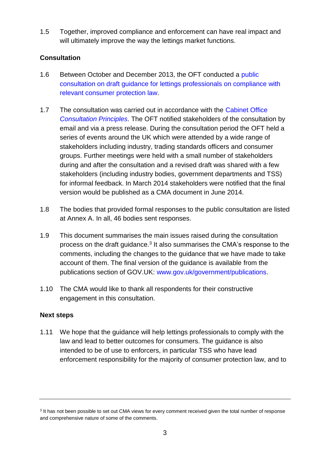1.5 Together, improved compliance and enforcement can have real impact and will ultimately improve the way the lettings market functions.

## **Consultation**

- 1.6 Between October and December 2013, the OFT conducted a public [consultation on draft guidance for lettings professionals on compliance with](https://www.gov.uk/government/consultations/draft-oft-guidance-for-lettings-professionals)  [relevant consumer protection law.](https://www.gov.uk/government/consultations/draft-oft-guidance-for-lettings-professionals)
- 1.7 The consultation was carried out in accordance with the [Cabinet Office](https://www.gov.uk/government/publications/consultation-principles-guidance)  *[Consultation Principles](https://www.gov.uk/government/publications/consultation-principles-guidance)*. The OFT notified stakeholders of the consultation by email and via a press release. During the consultation period the OFT held a series of events around the UK which were attended by a wide range of stakeholders including industry, trading standards officers and consumer groups. Further meetings were held with a small number of stakeholders during and after the consultation and a revised draft was shared with a few stakeholders (including industry bodies, government departments and TSS) for informal feedback. In March 2014 stakeholders were notified that the final version would be published as a CMA document in June 2014.
- 1.8 The bodies that provided formal responses to the public consultation are listed at Annex A. In all, 46 bodies sent responses.
- 1.9 This document summarises the main issues raised during the consultation process on the draft guidance.<sup>3</sup> It also summarises the CMA's response to the comments, including the changes to the guidance that we have made to take account of them. The final version of the guidance is available from the publications section of GOV.UK: [www.gov.uk/government/publications.](http://www.gov.uk/government/publications)
- 1.10 The CMA would like to thank all respondents for their constructive engagement in this consultation.

## **Next steps**

1.11 We hope that the guidance will help lettings professionals to comply with the law and lead to better outcomes for consumers. The guidance is also intended to be of use to enforcers, in particular TSS who have lead enforcement responsibility for the majority of consumer protection law, and to

<sup>&</sup>lt;sup>3</sup> It has not been possible to set out CMA views for every comment received given the total number of response and comprehensive nature of some of the comments.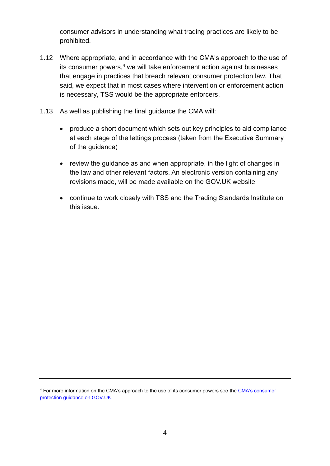consumer advisors in understanding what trading practices are likely to be prohibited.

- 1.12 Where appropriate, and in accordance with the CMA's approach to the use of its consumer powers, $4$  we will take enforcement action against businesses that engage in practices that breach relevant consumer protection law. That said, we expect that in most cases where intervention or enforcement action is necessary, TSS would be the appropriate enforcers.
- 1.13 As well as publishing the final guidance the CMA will:
	- produce a short document which sets out key principles to aid compliance at each stage of the lettings process (taken from the Executive Summary of the guidance)
	- review the guidance as and when appropriate, in the light of changes in the law and other relevant factors. An electronic version containing any revisions made, will be made available on the GOV.UK website
	- continue to work closely with TSS and the Trading Standards Institute on this issue.

<sup>4</sup> For more information on the CMA's approach to the use of its consumer powers see th[e CMA's consumer](http://www.gov.uk/government/publications/consumer-protection-guidance-on-the-cmas-approach-to-use-of-its-consumer-powers)  [protection guidance on GOV.UK.](http://www.gov.uk/government/publications/consumer-protection-guidance-on-the-cmas-approach-to-use-of-its-consumer-powers)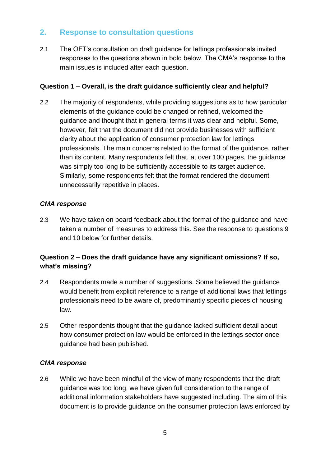## **2. Response to consultation questions**

2.1 The OFT's consultation on draft guidance for lettings professionals invited responses to the questions shown in bold below. The CMA's response to the main issues is included after each question.

## **Question 1 – Overall, is the draft guidance sufficiently clear and helpful?**

2.2 The majority of respondents, while providing suggestions as to how particular elements of the guidance could be changed or refined, welcomed the guidance and thought that in general terms it was clear and helpful. Some, however, felt that the document did not provide businesses with sufficient clarity about the application of consumer protection law for lettings professionals. The main concerns related to the format of the guidance, rather than its content. Many respondents felt that, at over 100 pages, the guidance was simply too long to be sufficiently accessible to its target audience. Similarly, some respondents felt that the format rendered the document unnecessarily repetitive in places.

## *CMA response*

2.3 We have taken on board feedback about the format of the guidance and have taken a number of measures to address this. See the response to questions 9 and 10 below for further details.

## **Question 2 – Does the draft guidance have any significant omissions? If so, what's missing?**

- 2.4 Respondents made a number of suggestions. Some believed the guidance would benefit from explicit reference to a range of additional laws that lettings professionals need to be aware of, predominantly specific pieces of housing law.
- 2.5 Other respondents thought that the guidance lacked sufficient detail about how consumer protection law would be enforced in the lettings sector once guidance had been published.

#### *CMA response*

2.6 While we have been mindful of the view of many respondents that the draft guidance was too long, we have given full consideration to the range of additional information stakeholders have suggested including. The aim of this document is to provide guidance on the consumer protection laws enforced by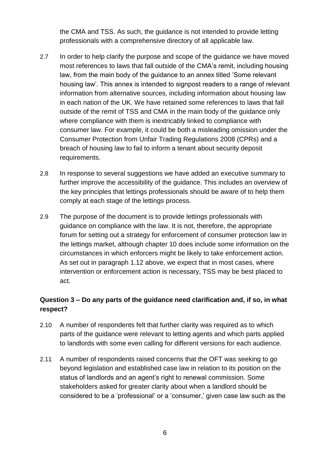the CMA and TSS. As such, the guidance is not intended to provide letting professionals with a comprehensive directory of all applicable law.

- 2.7 In order to help clarify the purpose and scope of the guidance we have moved most references to laws that fall outside of the CMA's remit, including housing law, from the main body of the guidance to an annex titled 'Some relevant housing law'. This annex is intended to signpost readers to a range of relevant information from alternative sources, including information about housing law in each nation of the UK. We have retained some references to laws that fall outside of the remit of TSS and CMA in the main body of the guidance only where compliance with them is inextricably linked to compliance with consumer law. For example, it could be both a misleading omission under the Consumer Protection from Unfair Trading Regulations 2008 (CPRs) and a breach of housing law to fail to inform a tenant about security deposit requirements.
- 2.8 In response to several suggestions we have added an executive summary to further improve the accessibility of the guidance. This includes an overview of the key principles that lettings professionals should be aware of to help them comply at each stage of the lettings process.
- 2.9 The purpose of the document is to provide lettings professionals with guidance on compliance with the law. It is not, therefore, the appropriate forum for setting out a strategy for enforcement of consumer protection law in the lettings market, although chapter 10 does include some information on the circumstances in which enforcers might be likely to take enforcement action. As set out in paragraph 1.12 above, we expect that in most cases, where intervention or enforcement action is necessary, TSS may be best placed to act.

## **Question 3 – Do any parts of the guidance need clarification and, if so, in what respect?**

- 2.10 A number of respondents felt that further clarity was required as to which parts of the guidance were relevant to letting agents and which parts applied to landlords with some even calling for different versions for each audience.
- 2.11 A number of respondents raised concerns that the OFT was seeking to go beyond legislation and established case law in relation to its position on the status of landlords and an agent's right to renewal commission. Some stakeholders asked for greater clarity about when a landlord should be considered to be a 'professional' or a 'consumer,' given case law such as the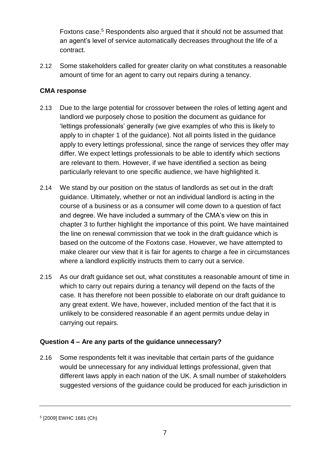Foxtons case.<sup>5</sup> Respondents also argued that it should not be assumed that an agent's level of service automatically decreases throughout the life of a contract.

2.12 Some stakeholders called for greater clarity on what constitutes a reasonable amount of time for an agent to carry out repairs during a tenancy.

## **CMA response**

- 2.13 Due to the large potential for crossover between the roles of letting agent and landlord we purposely chose to position the document as guidance for 'lettings professionals' generally (we give examples of who this is likely to apply to in chapter 1 of the guidance). Not all points listed in the guidance apply to every lettings professional, since the range of services they offer may differ. We expect lettings professionals to be able to identify which sections are relevant to them. However, if we have identified a section as being particularly relevant to one specific audience, we have highlighted it.
- 2.14 We stand by our position on the status of landlords as set out in the draft guidance. Ultimately, whether or not an individual landlord is acting in the course of a business or as a consumer will come down to a question of fact and degree. We have included a summary of the CMA's view on this in chapter 3 to further highlight the importance of this point. We have maintained the line on renewal commission that we took in the draft guidance which is based on the outcome of the Foxtons case. However, we have attempted to make clearer our view that it is fair for agents to charge a fee in circumstances where a landlord explicitly instructs them to carry out a service.
- 2.15 As our draft guidance set out, what constitutes a reasonable amount of time in which to carry out repairs during a tenancy will depend on the facts of the case. It has therefore not been possible to elaborate on our draft guidance to any great extent. We have, however, included mention of the fact that it is unlikely to be considered reasonable if an agent permits undue delay in carrying out repairs.

## **Question 4 – Are any parts of the guidance unnecessary?**

2.16 Some respondents felt it was inevitable that certain parts of the guidance would be unnecessary for any individual lettings professional, given that different laws apply in each nation of the UK. A small number of stakeholders suggested versions of the guidance could be produced for each jurisdiction in

<sup>5</sup> [2009] EWHC 1681 (Ch)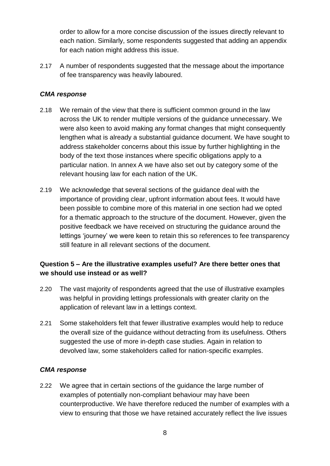order to allow for a more concise discussion of the issues directly relevant to each nation. Similarly, some respondents suggested that adding an appendix for each nation might address this issue.

2.17 A number of respondents suggested that the message about the importance of fee transparency was heavily laboured.

## *CMA response*

- 2.18 We remain of the view that there is sufficient common ground in the law across the UK to render multiple versions of the guidance unnecessary. We were also keen to avoid making any format changes that might consequently lengthen what is already a substantial guidance document. We have sought to address stakeholder concerns about this issue by further highlighting in the body of the text those instances where specific obligations apply to a particular nation. In annex A we have also set out by category some of the relevant housing law for each nation of the UK.
- 2.19 We acknowledge that several sections of the guidance deal with the importance of providing clear, upfront information about fees. It would have been possible to combine more of this material in one section had we opted for a thematic approach to the structure of the document. However, given the positive feedback we have received on structuring the guidance around the lettings 'journey' we were keen to retain this so references to fee transparency still feature in all relevant sections of the document.

## **Question 5 – Are the illustrative examples useful? Are there better ones that we should use instead or as well?**

- 2.20 The vast majority of respondents agreed that the use of illustrative examples was helpful in providing lettings professionals with greater clarity on the application of relevant law in a lettings context.
- 2.21 Some stakeholders felt that fewer illustrative examples would help to reduce the overall size of the guidance without detracting from its usefulness. Others suggested the use of more in-depth case studies. Again in relation to devolved law, some stakeholders called for nation-specific examples.

## *CMA response*

2.22 We agree that in certain sections of the guidance the large number of examples of potentially non-compliant behaviour may have been counterproductive. We have therefore reduced the number of examples with a view to ensuring that those we have retained accurately reflect the live issues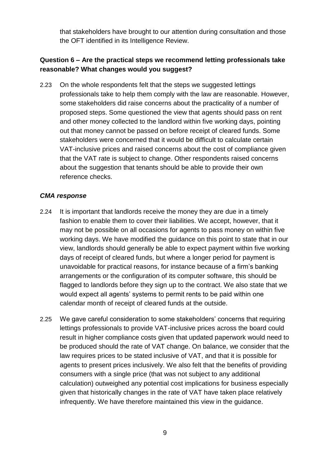that stakeholders have brought to our attention during consultation and those the OFT identified in its Intelligence Review.

## **Question 6 – Are the practical steps we recommend letting professionals take reasonable? What changes would you suggest?**

2.23 On the whole respondents felt that the steps we suggested lettings professionals take to help them comply with the law are reasonable. However, some stakeholders did raise concerns about the practicality of a number of proposed steps. Some questioned the view that agents should pass on rent and other money collected to the landlord within five working days, pointing out that money cannot be passed on before receipt of cleared funds. Some stakeholders were concerned that it would be difficult to calculate certain VAT-inclusive prices and raised concerns about the cost of compliance given that the VAT rate is subject to change. Other respondents raised concerns about the suggestion that tenants should be able to provide their own reference checks.

- 2.24 It is important that landlords receive the money they are due in a timely fashion to enable them to cover their liabilities. We accept, however, that it may not be possible on all occasions for agents to pass money on within five working days. We have modified the guidance on this point to state that in our view, landlords should generally be able to expect payment within five working days of receipt of cleared funds, but where a longer period for payment is unavoidable for practical reasons, for instance because of a firm's banking arrangements or the configuration of its computer software, this should be flagged to landlords before they sign up to the contract. We also state that we would expect all agents' systems to permit rents to be paid within one calendar month of receipt of cleared funds at the outside.
- 2.25 We gave careful consideration to some stakeholders' concerns that requiring lettings professionals to provide VAT-inclusive prices across the board could result in higher compliance costs given that updated paperwork would need to be produced should the rate of VAT change. On balance, we consider that the law requires prices to be stated inclusive of VAT, and that it is possible for agents to present prices inclusively. We also felt that the benefits of providing consumers with a single price (that was not subject to any additional calculation) outweighed any potential cost implications for business especially given that historically changes in the rate of VAT have taken place relatively infrequently. We have therefore maintained this view in the guidance.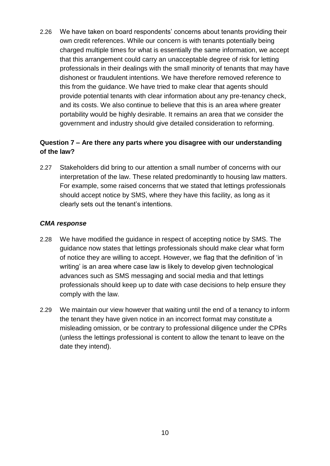2.26 We have taken on board respondents' concerns about tenants providing their own credit references. While our concern is with tenants potentially being charged multiple times for what is essentially the same information, we accept that this arrangement could carry an unacceptable degree of risk for letting professionals in their dealings with the small minority of tenants that may have dishonest or fraudulent intentions. We have therefore removed reference to this from the guidance. We have tried to make clear that agents should provide potential tenants with clear information about any pre-tenancy check, and its costs. We also continue to believe that this is an area where greater portability would be highly desirable. It remains an area that we consider the government and industry should give detailed consideration to reforming.

## **Question 7 – Are there any parts where you disagree with our understanding of the law?**

2.27 Stakeholders did bring to our attention a small number of concerns with our interpretation of the law. These related predominantly to housing law matters. For example, some raised concerns that we stated that lettings professionals should accept notice by SMS, where they have this facility, as long as it clearly sets out the tenant's intentions.

- 2.28 We have modified the guidance in respect of accepting notice by SMS. The guidance now states that lettings professionals should make clear what form of notice they are willing to accept. However, we flag that the definition of 'in writing' is an area where case law is likely to develop given technological advances such as SMS messaging and social media and that lettings professionals should keep up to date with case decisions to help ensure they comply with the law.
- 2.29 We maintain our view however that waiting until the end of a tenancy to inform the tenant they have given notice in an incorrect format may constitute a misleading omission, or be contrary to professional diligence under the CPRs (unless the lettings professional is content to allow the tenant to leave on the date they intend).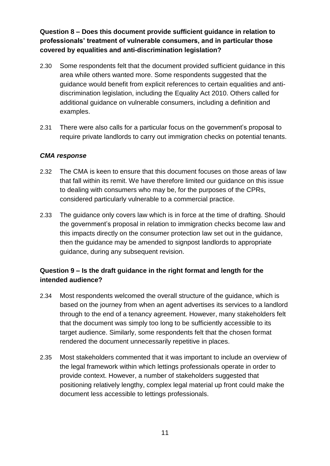**Question 8 – Does this document provide sufficient guidance in relation to professionals' treatment of vulnerable consumers, and in particular those covered by equalities and anti-discrimination legislation?**

- 2.30 Some respondents felt that the document provided sufficient guidance in this area while others wanted more. Some respondents suggested that the guidance would benefit from explicit references to certain equalities and antidiscrimination legislation, including the Equality Act 2010. Others called for additional guidance on vulnerable consumers, including a definition and examples.
- 2.31 There were also calls for a particular focus on the government's proposal to require private landlords to carry out immigration checks on potential tenants.

## *CMA response*

- 2.32 The CMA is keen to ensure that this document focuses on those areas of law that fall within its remit. We have therefore limited our guidance on this issue to dealing with consumers who may be, for the purposes of the CPRs, considered particularly vulnerable to a commercial practice.
- 2.33 The guidance only covers law which is in force at the time of drafting. Should the government's proposal in relation to immigration checks become law and this impacts directly on the consumer protection law set out in the guidance, then the guidance may be amended to signpost landlords to appropriate guidance, during any subsequent revision.

## **Question 9 – Is the draft guidance in the right format and length for the intended audience?**

- 2.34 Most respondents welcomed the overall structure of the guidance, which is based on the journey from when an agent advertises its services to a landlord through to the end of a tenancy agreement. However, many stakeholders felt that the document was simply too long to be sufficiently accessible to its target audience. Similarly, some respondents felt that the chosen format rendered the document unnecessarily repetitive in places.
- 2.35 Most stakeholders commented that it was important to include an overview of the legal framework within which lettings professionals operate in order to provide context. However, a number of stakeholders suggested that positioning relatively lengthy, complex legal material up front could make the document less accessible to lettings professionals.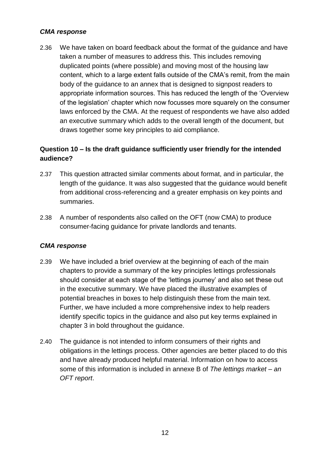#### *CMA response*

2.36 We have taken on board feedback about the format of the guidance and have taken a number of measures to address this. This includes removing duplicated points (where possible) and moving most of the housing law content, which to a large extent falls outside of the CMA's remit, from the main body of the guidance to an annex that is designed to signpost readers to appropriate information sources. This has reduced the length of the 'Overview of the legislation' chapter which now focusses more squarely on the consumer laws enforced by the CMA. At the request of respondents we have also added an executive summary which adds to the overall length of the document, but draws together some key principles to aid compliance.

## **Question 10 – Is the draft guidance sufficiently user friendly for the intended audience?**

- 2.37 This question attracted similar comments about format, and in particular, the length of the guidance. It was also suggested that the guidance would benefit from additional cross-referencing and a greater emphasis on key points and summaries.
- 2.38 A number of respondents also called on the OFT (now CMA) to produce consumer-facing guidance for private landlords and tenants.

- 2.39 We have included a brief overview at the beginning of each of the main chapters to provide a summary of the key principles lettings professionals should consider at each stage of the 'lettings journey' and also set these out in the executive summary. We have placed the illustrative examples of potential breaches in boxes to help distinguish these from the main text. Further, we have included a more comprehensive index to help readers identify specific topics in the guidance and also put key terms explained in chapter 3 in bold throughout the guidance.
- 2.40 The guidance is not intended to inform consumers of their rights and obligations in the lettings process. Other agencies are better placed to do this and have already produced helpful material. Information on how to access some of this information is included in annexe B of *The lettings market – an OFT report*.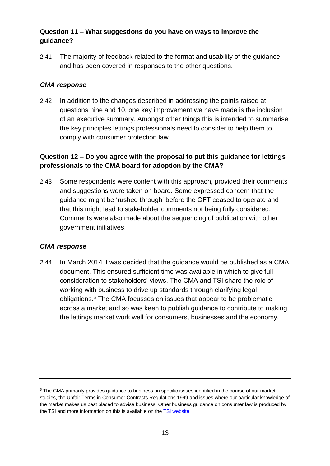## **Question 11 – What suggestions do you have on ways to improve the guidance?**

2.41 The majority of feedback related to the format and usability of the guidance and has been covered in responses to the other questions.

## *CMA response*

2.42 In addition to the changes described in addressing the points raised at questions nine and 10, one key improvement we have made is the inclusion of an executive summary. Amongst other things this is intended to summarise the key principles lettings professionals need to consider to help them to comply with consumer protection law.

## **Question 12 – Do you agree with the proposal to put this guidance for lettings professionals to the CMA board for adoption by the CMA?**

2.43 Some respondents were content with this approach, provided their comments and suggestions were taken on board. Some expressed concern that the guidance might be 'rushed through' before the OFT ceased to operate and that this might lead to stakeholder comments not being fully considered. Comments were also made about the sequencing of publication with other government initiatives.

#### *CMA response*

2.44 In March 2014 it was decided that the guidance would be published as a CMA document. This ensured sufficient time was available in which to give full consideration to stakeholders' views. The CMA and TSI share the role of working with business to drive up standards through clarifying legal obligations.<sup>6</sup> The CMA focusses on issues that appear to be problematic across a market and so was keen to publish guidance to contribute to making the lettings market work well for consumers, businesses and the economy.

<sup>&</sup>lt;sup>6</sup> The CMA primarily provides guidance to business on specific issues identified in the course of our market studies, the Unfair Terms in Consumer Contracts Regulations 1999 and issues where our particular knowledge of the market makes us best placed to advise business. Other business guidance on consumer law is produced by the TSI and more information on this is available on th[e TSI website.](http://www.tradingstandards.gov.uk/advice/advice-business.cfm)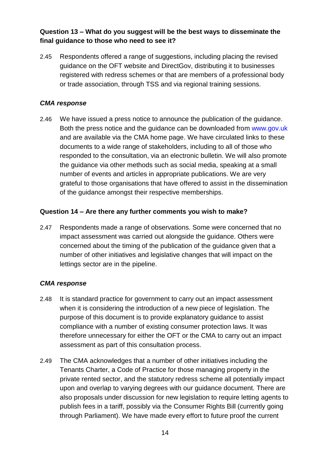## **Question 13 – What do you suggest will be the best ways to disseminate the final guidance to those who need to see it?**

2.45 Respondents offered a range of suggestions, including placing the revised guidance on the OFT website and DirectGov, distributing it to businesses registered with redress schemes or that are members of a professional body or trade association, through TSS and via regional training sessions.

## *CMA response*

2.46 We have issued a press notice to announce the publication of the guidance. Both the press notice and the guidance can be downloaded from [www.gov.uk](http://www.gov.uk/) and are available via the CMA home page. We have circulated links to these documents to a wide range of stakeholders, including to all of those who responded to the consultation, via an electronic bulletin. We will also promote the guidance via other methods such as social media, speaking at a small number of events and articles in appropriate publications. We are very grateful to those organisations that have offered to assist in the dissemination of the guidance amongst their respective memberships.

## **Question 14 – Are there any further comments you wish to make?**

2.47 Respondents made a range of observations. Some were concerned that no impact assessment was carried out alongside the guidance. Others were concerned about the timing of the publication of the guidance given that a number of other initiatives and legislative changes that will impact on the lettings sector are in the pipeline.

- 2.48 It is standard practice for government to carry out an impact assessment when it is considering the introduction of a new piece of legislation. The purpose of this document is to provide explanatory guidance to assist compliance with a number of existing consumer protection laws. It was therefore unnecessary for either the OFT or the CMA to carry out an impact assessment as part of this consultation process.
- 2.49 The CMA acknowledges that a number of other initiatives including the Tenants Charter, a Code of Practice for those managing property in the private rented sector, and the statutory redress scheme all potentially impact upon and overlap to varying degrees with our guidance document. There are also proposals under discussion for new legislation to require letting agents to publish fees in a tariff, possibly via the Consumer Rights Bill (currently going through Parliament). We have made every effort to future proof the current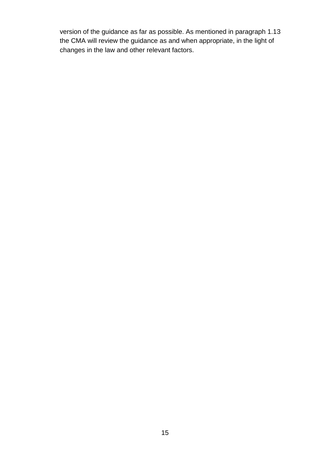version of the guidance as far as possible. As mentioned in paragraph 1.13 the CMA will review the guidance as and when appropriate, in the light of changes in the law and other relevant factors.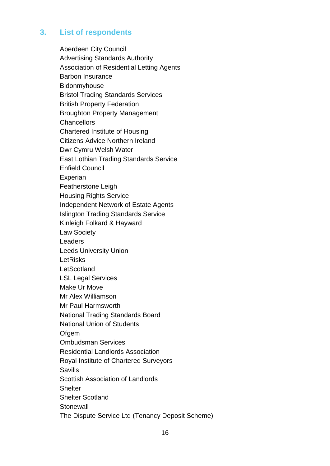# **3. List of respondents**

Aberdeen City Council Advertising Standards Authority Association of Residential Letting Agents Barbon Insurance Bidonmyhouse Bristol Trading Standards Services British Property Federation Broughton Property Management **Chancellors** Chartered Institute of Housing Citizens Advice Northern Ireland Dwr Cymru Welsh Water East Lothian Trading Standards Service Enfield Council Experian Featherstone Leigh Housing Rights Service Independent Network of Estate Agents Islington Trading Standards Service Kinleigh Folkard & Hayward Law Society **Leaders** Leeds University Union LetRisks **LetScotland** LSL Legal Services Make Ur Move Mr Alex Williamson Mr Paul Harmsworth National Trading Standards Board National Union of Students **Ofgem** Ombudsman Services Residential Landlords Association Royal Institute of Chartered Surveyors **Savills** Scottish Association of Landlords **Shelter** Shelter Scotland **Stonewall** The Dispute Service Ltd (Tenancy Deposit Scheme)